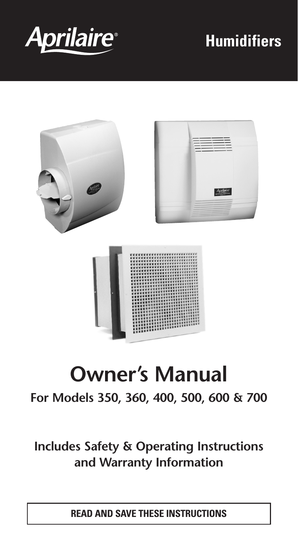

# **Humidifiers**



# **Owner's Manual**

#### **For Models 350, 360, 400, 500, 600 & 700**

#### **Includes Safety & Operating Instructions and Warranty Information**

**READ AND SAVE THESE INSTRUCTIONS**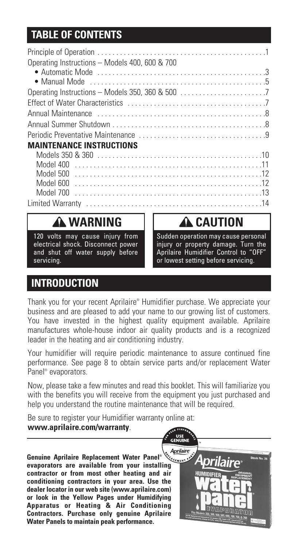#### **TABLE OF CONTENTS TABLE OF CONTENTS**

| Operating Instructions - Models 400, 600 & 700                                                                                                                                                                                 |  |
|--------------------------------------------------------------------------------------------------------------------------------------------------------------------------------------------------------------------------------|--|
|                                                                                                                                                                                                                                |  |
|                                                                                                                                                                                                                                |  |
|                                                                                                                                                                                                                                |  |
|                                                                                                                                                                                                                                |  |
| Annual Maintenance expressions are a series and a series of the series of the series of the series of the series of the series of the series of the series of the series of the series of the series of the series of the seri |  |
|                                                                                                                                                                                                                                |  |
|                                                                                                                                                                                                                                |  |
| <b>MAINTENANCE INSTRUCTIONS</b>                                                                                                                                                                                                |  |
|                                                                                                                                                                                                                                |  |
|                                                                                                                                                                                                                                |  |
|                                                                                                                                                                                                                                |  |
|                                                                                                                                                                                                                                |  |
|                                                                                                                                                                                                                                |  |
|                                                                                                                                                                                                                                |  |

#### **A WARNING**

120 volts may cause injury from electrical shock. Disconnect power and shut off water supply before servicing.

**A** CAUTION

Sudden operation may cause personal injury or property damage. Turn the Aprilaire Humidifier Control to "OFF" or lowest setting before servicing.

#### **INTRODUCTION**

Thank you for your recent Aprilaire® Humidifier purchase. We appreciate your business and are pleased to add your name to our growing list of customers. You have invested in the highest quality equipment available. Aprilaire manufactures whole-house indoor air quality products and is a recognized leader in the heating and air conditioning industry.

Your humidifier will require periodic maintenance to assure continued fine performance. See page 8 to obtain service parts and/or replacement Water Panel® evaporators.

Now, please take a few minutes and read this booklet. This will familiarize you with the benefits you will receive from the equipment you just purchased and help you understand the routine maintenance that will be required.

Be sure to register your Humidifier warranty online at: **www.aprilaire.com/warranty**.

**Genuine Aprilaire Replacement Water Panel® Genuine Aprilaire Replacement Water Panel**®  $\frac{N_{\text{detust}}}{N_{\text{detust}}}}$ **contractor or from most other heating and air conditioning contractors in your area. Use the dealer locator in our web site (www.aprilaire.com) or look in the Yellow Pages under Humidifying Apparatus or Heating & Air Conditioning Contractors. Purchase only genuine Aprilaire Water Panels to maintain peak performance.**

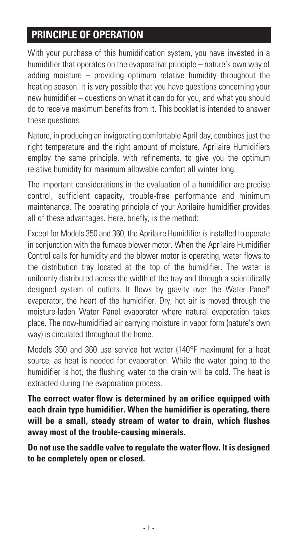#### **PRINCIPLE OF OPERATION**

With your purchase of this humidification system, you have invested in a humidifier that operates on the evaporative principle – nature's own way of adding moisture – providing optimum relative humidity throughout the heating season. It is very possible that you have questions concerning your new humidifier – questions on what it can do for you, and what you should do to receive maximum benefits from it. This booklet is intended to answer these questions.

Nature, in producing an invigorating comfortable April day, combines just the right temperature and the right amount of moisture. Aprilaire Humidifiers employ the same principle, with refinements, to give you the optimum relative humidity for maximum allowable comfort all winter long.

The important considerations in the evaluation of a humidifier are precise control, sufficient capacity, trouble-free performance and minimum maintenance. The operating principle of your Aprilaire humidifier provides all of these advantages. Here, briefly, is the method:

Except for Models 350 and 360, the Aprilaire Humidifier is installed to operate in conjunction with the furnace blower motor. When the Aprilaire Humidifier Control calls for humidity and the blower motor is operating, water flows to the distribution tray located at the top of the humidifier. The water is uniformly distributed across the width of the tray and through a scientifically designed system of outlets. It flows by gravity over the Water Panel® evaporator, the heart of the humidifier. Dry, hot air is moved through the moisture-laden Water Panel evaporator where natural evaporation takes place. The now-humidified air carrying moisture in vapor form (nature's own way) is circulated throughout the home.

Models 350 and 360 use service hot water (140°F maximum) for a heat source, as heat is needed for evaporation. While the water going to the humidifier is hot, the flushing water to the drain will be cold. The heat is extracted during the evaporation process.

**The correct water flow is determined by an orifice equipped with each drain type humidifier. When the humidifier is operating, there will be a small, steady stream of water to drain, which flushes away most of the trouble-causing minerals.**

**Do not use the saddle valve to regulate the water flow. It is designed to be completely open or closed.**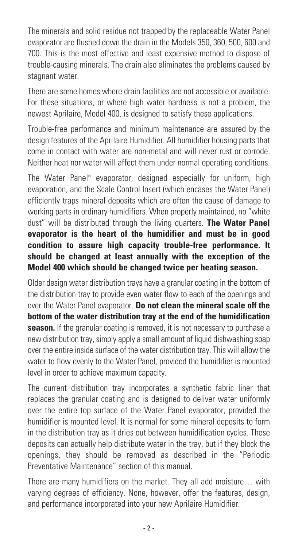The minerals and solid residue not trapped by the replaceable Water Panel evaporator are flushed down the drain in the Models 350, 360, 500, 600 and 700. This is the most effective and least expensive method to dispose of trouble-causing minerals. The drain also eliminates the problems caused by stagnant water.

There are some homes where drain facilities are not accessible or available. For these situations, or where high water hardness is not a problem, the newest Aprilaire, Model 400, is designed to satisfy these applications.

Trouble-free performance and minimum maintenance are assured by the design features of the Aprilaire Humidifier. All humidifier housing parts that come in contact with water are non-metal and will never rust or corrode. Neither heat nor water will affect them under normal operating conditions.

The Water Panel® evaporator, designed especially for uniform, high evaporation, and the Scale Control Insert (which encases the Water Panel) efficiently traps mineral deposits which are often the cause of damage to working parts in ordinary humidifiers. When properly maintained, no "white dust" will be distributed through the living quarters. **The Water Panel evaporator is the heart of the humidifier and must be in good condition to assure high capacity trouble-free performance. It should be changed at least annually with the exception of the Model 400 which should be changed twice per heating season.**

Older design water distribution trays have a granular coating in the bottom of the distribution tray to provide even water flow to each of the openings and over the Water Panel evaporator. **Do not clean the mineral scale off the bottom of the water distribution tray at the end of the humidification season.** If the granular coating is removed, it is not necessary to purchase a new distribution tray, simply apply a small amount of liquid dishwashing soap over the entire inside surface of the water distribution tray. This will allow the water to flow evenly to the Water Panel, provided the humidifier is mounted level in order to achieve maximum capacity.

The current distribution tray incorporates a synthetic fabric liner that replaces the granular coating and is designed to deliver water uniformly over the entire top surface of the Water Panel evaporator, provided the humidifier is mounted level. It is normal for some mineral deposits to form in the distribution tray as it dries out between humidification cycles. These deposits can actually help distribute water in the tray, but if they block the openings, they should be removed as described in the "Periodic Preventative Maintenance" section of this manual.

There are many humidifiers on the market. They all add moisture… with varying degrees of efficiency. None, however, offer the features, design, and performance incorporated into your new Aprilaire Humidifier.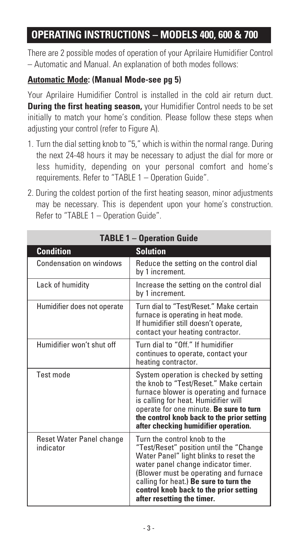#### **OPERATING INSTRUCTIONS – MODELS 400, 600 & 700**

There are 2 possible modes of operation of your Aprilaire Humidifier Control – Automatic and Manual. An explanation of both modes follows:

#### **Automatic Mode: (Manual Mode-see pg 5)**

Your Aprilaire Humidifier Control is installed in the cold air return duct. **During the first heating season,** your Humidifier Control needs to be set initially to match your home's condition. Please follow these steps when adjusting your control (refer to Figure A).

- 1. Turn the dial setting knob to "5," which is within the normal range. During the next 24-48 hours it may be necessary to adjust the dial for more or less humidity, depending on your personal comfort and home's requirements. Refer to "TABLE 1 – Operation Guide".
- 2. During the coldest portion of the first heating season, minor adjustments may be necessary. This is dependent upon your home's construction. Refer to "TABLE 1 – Operation Guide".

| <b>TABLE 1 - Operation Guide</b>      |                                                                                                                                                                                                                                                                                                                     |  |  |  |  |
|---------------------------------------|---------------------------------------------------------------------------------------------------------------------------------------------------------------------------------------------------------------------------------------------------------------------------------------------------------------------|--|--|--|--|
| <b>Condition</b>                      | <b>Solution</b>                                                                                                                                                                                                                                                                                                     |  |  |  |  |
| Condensation on windows               | Reduce the setting on the control dial<br>by 1 increment.                                                                                                                                                                                                                                                           |  |  |  |  |
| Lack of humidity                      | Increase the setting on the control dial<br>by 1 increment.                                                                                                                                                                                                                                                         |  |  |  |  |
| Humidifier does not operate           | Turn dial to "Test/Reset." Make certain<br>furnace is operating in heat mode.<br>If humidifier still doesn't operate,<br>contact your heating contractor.                                                                                                                                                           |  |  |  |  |
| Humidifier won't shut off             | Turn dial to "Off." If humidifier<br>continues to operate, contact your<br>heating contractor.                                                                                                                                                                                                                      |  |  |  |  |
| Test mode                             | System operation is checked by setting<br>the knob to "Test/Reset." Make certain<br>furnace blower is operating and furnace<br>is calling for heat. Humidifier will<br>operate for one minute. Be sure to turn<br>the control knob back to the prior setting<br>after checking humidifier operation.                |  |  |  |  |
| Reset Water Panel change<br>indicator | Turn the control knob to the<br>"Test/Reset" position until the "Change<br>Water Panel" light blinks to reset the<br>water panel change indicator timer.<br>(Blower must be operating and furnace<br>calling for heat.) Be sure to turn the<br>control knob back to the prior setting<br>after resetting the timer. |  |  |  |  |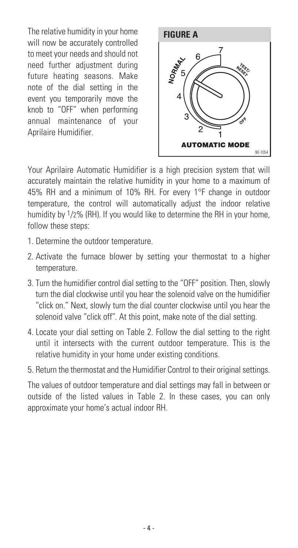The relative humidity in your home will now be accurately controlled to meet your needs and should not need further adjustment during future heating seasons. Make note of the dial setting in the event you temporarily move the knob to "OFF" when performing annual maintenance of your Aprilaire Humidifier.



Your Aprilaire Automatic Humidifier is a high precision system that will accurately maintain the relative humidity in your home to a maximum of 45% RH and a minimum of 10% RH. For every 1°F change in outdoor temperature, the control will automatically adjust the indoor relative humidity by 1/2% (RH). If you would like to determine the RH in your home, follow these steps:

- 1. Determine the outdoor temperature.
- 2. Activate the furnace blower by setting your thermostat to a higher temperature.
- 3. Turn the humidifier control dial setting to the "OFF" position. Then, slowly turn the dial clockwise until you hear the solenoid valve on the humidifier "click on." Next, slowly turn the dial counter clockwise until you hear the solenoid valve "click off". At this point, make note of the dial setting.
- 4. Locate your dial setting on Table 2. Follow the dial setting to the right until it intersects with the current outdoor temperature. This is the relative humidity in your home under existing conditions.
- 5. Return the thermostat and the Humidifier Control to their original settings.

The values of outdoor temperature and dial settings may fall in between or outside of the listed values in Table 2. In these cases, you can only approximate your home's actual indoor RH.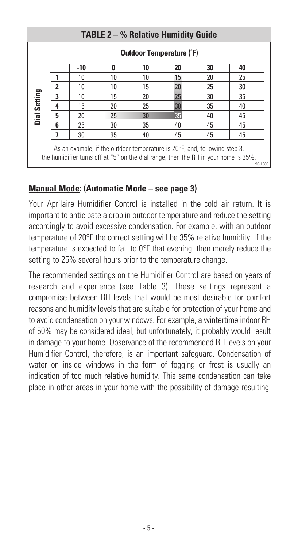| <b>TABLE 2 – % Relative Humidity Guide</b>                                                                                                                                            |                                 |     |    |    |    |    |    |
|---------------------------------------------------------------------------------------------------------------------------------------------------------------------------------------|---------------------------------|-----|----|----|----|----|----|
|                                                                                                                                                                                       | <b>Outdoor Temperature (°F)</b> |     |    |    |    |    |    |
|                                                                                                                                                                                       |                                 | -10 | 0  | 10 | 20 | 30 | 40 |
|                                                                                                                                                                                       |                                 | 10  | 10 | 10 | 15 | 20 | 25 |
|                                                                                                                                                                                       | $\boldsymbol{2}$                | 10  | 10 | 15 | 20 | 25 | 30 |
|                                                                                                                                                                                       | $\overline{\mathbf{3}}$         | 10  | 15 | 20 | 25 | 30 | 35 |
|                                                                                                                                                                                       | 4                               | 15  | 20 | 25 | 30 | 35 | 40 |
| Dial Setting                                                                                                                                                                          | 5                               | 20  | 25 | 30 | 35 | 40 | 45 |
|                                                                                                                                                                                       | 6                               | 25  | 30 | 35 | 40 | 45 | 45 |
|                                                                                                                                                                                       | 7                               | 30  | 35 | 40 | 45 | 45 | 45 |
| As an example, if the outdoor temperature is $20^{\circ}$ F, and, following step 3,<br>the humidifier turns off at "5" on the dial range, then the RH in your home is 35%.<br>90-1080 |                                 |     |    |    |    |    |    |

#### **Manual Mode: (Automatic Mode – see page 3)**

Your Aprilaire Humidifier Control is installed in the cold air return. It is important to anticipate a drop in outdoor temperature and reduce the setting accordingly to avoid excessive condensation. For example, with an outdoor temperature of 20°F the correct setting will be 35% relative humidity. If the temperature is expected to fall to 0°F that evening, then merely reduce the setting to 25% several hours prior to the temperature change.

The recommended settings on the Humidifier Control are based on years of research and experience (see Table 3). These settings represent a compromise between RH levels that would be most desirable for comfort reasons and humidity levels that are suitable for protection of your home and to avoid condensation on your windows. For example, a wintertime indoor RH of 50% may be considered ideal, but unfortunately, it probably would result in damage to your home. Observance of the recommended RH levels on your Humidifier Control, therefore, is an important safeguard. Condensation of water on inside windows in the form of fogging or frost is usually an indication of too much relative humidity. This same condensation can take place in other areas in your home with the possibility of damage resulting.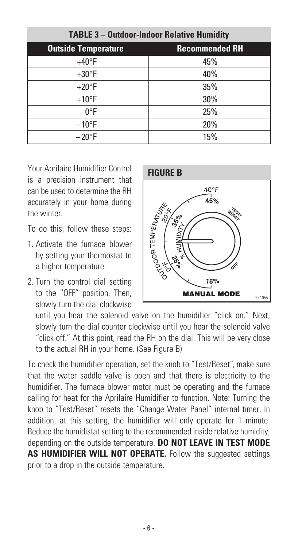| <b>TABLE 3 - Outdoor-Indoor Relative Humidity</b> |                       |  |  |  |  |
|---------------------------------------------------|-----------------------|--|--|--|--|
| <b>Outside Temperature</b>                        | <b>Recommended RH</b> |  |  |  |  |
| $+40^{\circ}F$                                    | 45%                   |  |  |  |  |
| $+30^{\circ}F$                                    | 40%                   |  |  |  |  |
| $+20^{\circ}F$                                    | 35%                   |  |  |  |  |
| $+10$ °F                                          | 30%                   |  |  |  |  |
| $0^{\circ}F$                                      | 25%                   |  |  |  |  |
| $-10$ °F                                          | 20%                   |  |  |  |  |
| $-20$ °F                                          | 15%                   |  |  |  |  |

Your Aprilaire Humidifier Control is a precision instrument that can be used to determine the RH accurately in your home during the winter.

To do this, follow these steps:

- 1. Activate the furnace blower by setting your thermostat to a higher temperature.
- 2. Turn the control dial setting to the "OFF" position. Then, slowly turn the dial clockwise



until you hear the solenoid valve on the humidifier "click on." Next, slowly turn the dial counter clockwise until you hear the solenoid valve "click off." At this point, read the RH on the dial. This will be very close to the actual RH in your home. (See Figure B)

To check the humidifier operation, set the knob to "Test/Reset", make sure that the water saddle valve is open and that there is electricity to the humidifier. The furnace blower motor must be operating and the furnace calling for heat for the Aprilaire Humidifier to function. Note: Turning the knob to "Test/Reset" resets the "Change Water Panel" internal timer. In addition, at this setting, the humidifier will only operate for 1 minute. Reduce the humidistat setting to the recommended inside relative humidity, depending on the outside temperature. **DO NOT LEAVE IN TEST MODE AS HUMIDIFIER WILL NOT OPERATE.** Follow the suggested settings prior to a drop in the outside temperature.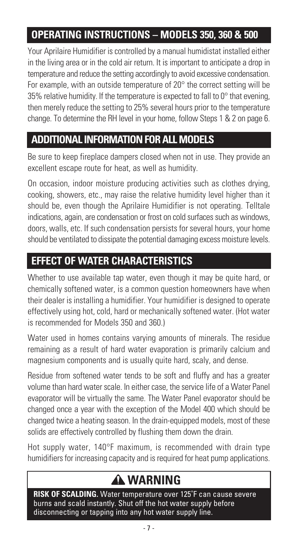#### **OPERATING INSTRUCTIONS - MODELS 350, 360 & 500**

Your Aprilaire Humidifier is controlled by a manual humidistat installed either in the living area or in the cold air return. It is important to anticipate a drop in temperature and reduce the setting accordingly to avoid excessive condensation. For example, with an outside temperature of 20° the correct setting will be 35% relative humidity. If the temperature is expected to fall to  $0^\circ$  that evening, then merely reduce the setting to 25% several hours prior to the temperature change. To determine the RH level in your home, follow Steps 1 & 2 on page 6.

#### **TABLE OF CONTENTS ADDITIONAL INFORMATION FOR ALL MODELS**

Be sure to keep fireplace dampers closed when not in use. They provide an excellent escape route for heat, as well as humidity.

On occasion, indoor moisture producing activities such as clothes drying, cooking, showers, etc., may raise the relative humidity level higher than it should be, even though the Aprilaire Humidifier is not operating. Telltale indications, again, are condensation or frost on cold surfaces such as windows, doors, walls, etc. If such condensation persists for several hours, your home should be ventilated to dissipate the potential damaging excess moisture levels.

#### **EFFECT OF WATER CHARACTERISTICS**

Whether to use available tap water, even though it may be quite hard, or chemically softened water, is a common question homeowners have when their dealer is installing a humidifier. Your humidifier is designed to operate effectively using hot, cold, hard or mechanically softened water. (Hot water is recommended for Models 350 and 360.)

Water used in homes contains varying amounts of minerals. The residue remaining as a result of hard water evaporation is primarily calcium and magnesium components and is usually quite hard, scaly, and dense.

Residue from softened water tends to be soft and fluffy and has a greater volume than hard water scale. In either case, the service life of a Water Panel evaporator will be virtually the same. The Water Panel evaporator should be changed once a year with the exception of the Model 400 which should be changed twice a heating season. In the drain-equipped models, most of these solids are effectively controlled by flushing them down the drain.

Hot supply water, 140°F maximum, is recommended with drain type humidifiers for increasing capacity and is required for heat pump applications.

## **WARNING**

**RISK OF SCALDING.** Water temperature over 125˚F can cause severe burns and scald instantly. Shut off the hot water supply before disconnecting or tapping into any hot water supply line.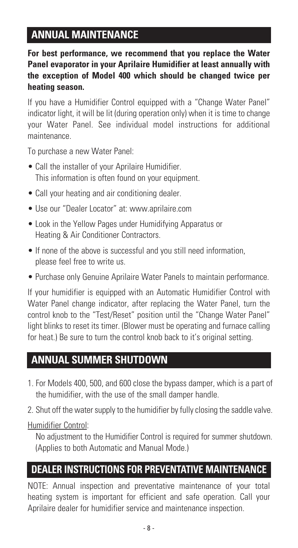#### **TABLE OF CONTENTS ANNUAL MAINTENANCE**

**For best performance, we recommend that you replace the Water Panel evaporator in your Aprilaire Humidifier at least annually with the exception of Model 400 which should be changed twice per heating season.** 

If you have a Humidifier Control equipped with a "Change Water Panel" indicator light, it will be lit (during operation only) when it is time to change your Water Panel. See individual model instructions for additional maintenance.

To purchase a new Water Panel:

- Call the installer of your Aprilaire Humidifier. This information is often found on your equipment.
- Call your heating and air conditioning dealer.
- Use our "Dealer Locator" at: www.aprilaire.com
- Look in the Yellow Pages under Humidifying Apparatus or Heating & Air Conditioner Contractors.
- If none of the above is successful and you still need information, please feel free to write us.
- Purchase only Genuine Aprilaire Water Panels to maintain performance.

If your humidifier is equipped with an Automatic Humidifier Control with Water Panel change indicator, after replacing the Water Panel, turn the control knob to the "Test/Reset" position until the "Change Water Panel" light blinks to reset its timer. (Blower must be operating and furnace calling for heat.) Be sure to turn the control knob back to it's original setting.

#### **TABLE OF CONTENTS ANNUAL SUMMER SHUTDOWN**

- 1. For Models 400, 500, and 600 close the bypass damper, which is a part of the humidifier, with the use of the small damper handle.
- 2. Shut off the water supply to the humidifier by fully closing the saddle valve.

Humidifier Control:

No adjustment to the Humidifier Control is required for summer shutdown. (Applies to both Automatic and Manual Mode.)

#### **DEALER INSTRUCTIONS FOR PREVENTATIVE MAINTENANCE**

NOTE: Annual inspection and preventative maintenance of your total heating system is important for efficient and safe operation. Call your Aprilaire dealer for humidifier service and maintenance inspection.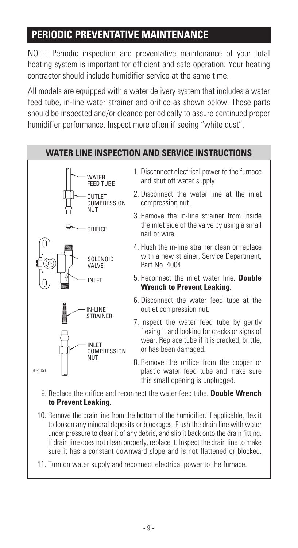#### **PERIODIC PREVENTATIVE MAINTENANCE**

NOTE: Periodic inspection and preventative maintenance of your total heating system is important for efficient and safe operation. Your heating contractor should include humidifier service at the same time.

All models are equipped with a water delivery system that includes a water feed tube, in-line water strainer and orifice as shown below. These parts should be inspected and/or cleaned periodically to assure continued proper humidifier performance. Inspect more often if seeing "white dust".



- 10. Remove the drain line from the bottom of the humidifier. If applicable, flex it to loosen any mineral deposits or blockages. Flush the drain line with water under pressure to clear it of any debris, and slip it back onto the drain fitting. If drain line does not clean properly, replace it. Inspect the drain line to make sure it has a constant downward slope and is not flattened or blocked.
- 11. Turn on water supply and reconnect electrical power to the furnace.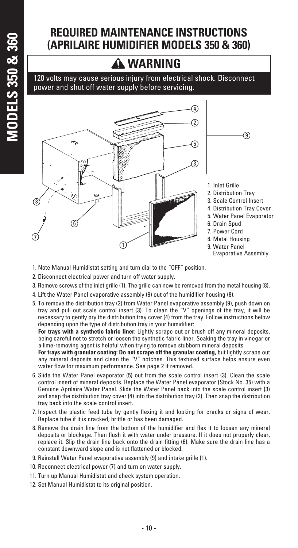#### **REQUIRED MAINTENANCE INSTRUCTIONS (APRILAIRE HUMIDIFIER MODELS 350 & 360)**

#### **WARNING**

120 volts may cause serious injury from electrical shock. Disconnect power and shut off water supply before servicing.



- 1. Note Manual Humidistat setting and turn dial to the "OFF" position.
- 2. Disconnect electrical power and turn off water supply.
- 3. Remove screws of the inlet grille (1). The grille can now be removed from the metal housing (8).
- 4. Lift the Water Panel evaporative assembly (9) out of the humidifier housing (8).
- 5. To remove the distribution tray (2) from Water Panel evaporative assembly (9), push down on tray and pull out scale control insert (3). To clean the "V" openings of the tray, it will be necessary to gently pry the distribution tray cover (4) from the tray. Follow instructions below depending upon the type of distribution tray in your humidifier:

**For trays with a synthetic fabric liner:** Lightly scrape out or brush off any mineral deposits, being careful not to stretch or loosen the synthetic fabric liner. Soaking the tray in vinegar or a lime-removing agent is helpful when trying to remove stubborn mineral deposits.

**For trays with granular coating: Do not scrape off the granular coating,** but lightly scrape out any mineral deposits and clean the "V" notches. This textured surface helps ensure even water flow for maximum performance. See page 2 if removed.

- 6. Slide the Water Panel evaporator (5) out from the scale control insert (3). Clean the scale control insert of mineral deposits. Replace the Water Panel evaporator (Stock No. 35) with a Genuine Aprilaire Water Panel. Slide the Water Panel back into the scale control insert (3) and snap the distribution tray cover (4) into the distribution tray (2). Then snap the distribution tray back into the scale control insert.
- 7. Inspect the plastic feed tube by gently flexing it and looking for cracks or signs of wear. Replace tube if it is cracked, brittle or has been damaged.
- 8. Remove the drain line from the bottom of the humidifier and flex it to loosen any mineral deposits or blockage. Then flush it with water under pressure. If it does not properly clear, replace it. Slip the drain line back onto the drain fitting (6). Make sure the drain line has a constant downward slope and is not flattened or blocked.
- 9. Reinstall Water Panel evaporative assembly (9) and intake grille (1).
- 10. Reconnect electrical power (7) and turn on water supply.
- 11. Turn up Manual Humidistat and check system operation.
- 12. Set Manual Humidistat to its original position.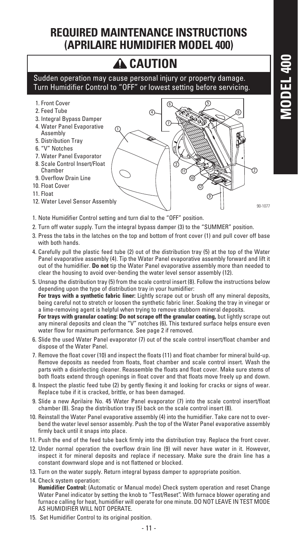#### **REQUIRED MAINTENANCE INSTRUCTIONS (APRILAIRE HUMIDIFIER MODEL 400)**

### **CAUTION**

Sudden operation may cause personal injury or property damage. Turn Humidifier Control to "OFF" or lowest setting before servicing.

- 1. Front Cover
- 2. Feed Tube
- 3. Integral Bypass Damper
- 4. Water Panel Evaporative Assembly
- 5. Distribution Tray
- 6. "V" Notches
- 7. Water Panel Evaporator
- 8. Scale Control Insert/Float Chamber
- 9. Overflow Drain Line
- 10. Float Cover
- 11. Float
- 12. Water Level Sensor Assembly



- 90-1077
- 1. Note Humidifier Control setting and turn dial to the "OFF" position.
- 2. Turn off water supply. Turn the integral bypass damper (3) to the "SUMMER" position.
- 3. Press the tabs in the latches on the top and bottom of front cover (1) and pull cover off base with both hands.
- 4. Carefully pull the plastic feed tube (2) out of the distribution tray (5) at the top of the Water Panel evaporative assembly (4). Tip the Water Panel evaporative assembly forward and lift it out of the humidifier. **Do not** tip the Water Panel evaporative assembly more than needed to clear the housing to avoid over-bending the water level sensor assembly (12).
- 5. Unsnap the distribution tray (5) from the scale control insert (8). Follow the instructions below depending upon the type of distribution tray in your humidifier: **For trays with a synthetic fabric liner:** Lightly scrape out or brush off any mineral deposits, being careful not to stretch or loosen the synthetic fabric liner. Soaking the tray in vinegar or a lime-removing agent is helpful when trying to remove stubborn mineral deposits. For trays with granular coating: Do not scrape off the granular coating, but lightly scrape out any mineral deposits and clean the "V" notches (6)**.** This textured surface helps ensure even water flow for maximum performance. See page 2 if removed.
- 6. Slide the used Water Panel evaporator (7) out of the scale control insert/float chamber and dispose of the Water Panel.
- 7. Remove the float cover (10) and inspect the floats (11) and float chamber for mineral build-up. Remove deposits as needed from floats, float chamber and scale control insert. Wash the parts with a disinfecting cleaner. Reassemble the floats and float cover. Make sure stems of both floats extend through openings in float cover and that floats move freely up and down.
- 8. Inspect the plastic feed tube (2) by gently flexing it and looking for cracks or signs of wear. Replace tube if it is cracked, brittle, or has been damaged.
- 9. Slide a new Aprilaire No. 45 Water Panel evaporator (7) into the scale control insert/float chamber (8). Snap the distribution tray (5) back on the scale control insert (8).
- 10. Reinstall the Water Panel evaporative assembly (4) into the humidifier. Take care not to overbend the water level sensor assembly. Push the top of the Water Panel evaporative assembly firmly back until it snaps into place.
- 11. Push the end of the feed tube back firmly into the distribution tray. Replace the front cover.
- 12. Under normal operation the overflow drain line (9) will never have water in it. However, inspect it for mineral deposits and replace if necessary. Make sure the drain line has a constant downward slope and is not flattened or blocked.
- 13. Turn on the water supply. Return integral bypass damper to appropriate position.
- 14. Check system operation: **Humidifier Control:** (Automatic or Manual mode) Check system operation and reset Change Water Panel indicator by setting the knob to "Test/Reset". With furnace blower operating and furnace calling for heat, humidifier will operate for one minute. DO NOT LEAVE IN TEST MODE AS HUMIDIFIER WILL NOT OPERATE.
- 15. Set Humidifier Control to its original position.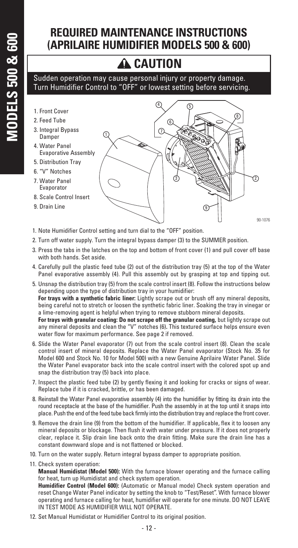#### **REQUIRED MAINTENANCE INSTRUCTIONS (APRILAIRE HUMIDIFIER MODELS 500 & 600)**

## **A** CAUTION

#### Sudden operation may cause personal injury or property damage. Turn Humidifier Control to "OFF" or lowest setting before servicing.

- 1. Front Cover
- 2. Feed Tube
- 3. Integral Bypass Damper
- 4. Water Panel Evaporative Assembly
- 5. Distribution Tray
- 6. "V" Notches
- 7. Water Panel Evaporator
- 8. Scale Control Insert
- 9. Drain Line



90-1076

- 1. Note Humidifier Control setting and turn dial to the "OFF" position.
- 2. Turn off water supply. Turn the integral bypass damper (3) to the SUMMER position.
- 3. Press the tabs in the latches on the top and bottom of front cover (1) and pull cover off base with both hands. Set aside.
- 4. Carefully pull the plastic feed tube (2) out of the distribution tray (5) at the top of the Water Panel evaporative assembly (4). Pull this assembly out by grasping at top and tipping out.
- 5. Unsnap the distribution tray (5) from the scale control insert (8). Follow the instructions below depending upon the type of distribution tray in your humidifier: **For trays with a synthetic fabric liner:** Lightly scrape out or brush off any mineral deposits, being careful not to stretch or loosen the synthetic fabric liner. Soaking the tray in vinegar or a lime-removing agent is helpful when trying to remove stubborn mineral deposits. For trays with granular coating: Do not scrape off the granular coating, but lightly scrape out any mineral deposits and clean the "V" notches (6)**.** This textured surface helps ensure even water flow for maximum performance. See page 2 if removed.
- 6. Slide the Water Panel evaporator (7) out from the scale control insert (8). Clean the scale control insert of mineral deposits. Replace the Water Panel evaporator (Stock No. 35 for Model 600 and Stock No. 10 for Model 500) with a new Genuine Aprilaire Water Panel. Slide the Water Panel evaporator back into the scale control insert with the colored spot up and snap the distribution tray (5) back into place.
- 7. Inspect the plastic feed tube (2) by gently flexing it and looking for cracks or signs of wear. Replace tube if it is cracked, brittle, or has been damaged.
- 8. Reinstall the Water Panel evaporative assembly (4) into the humidifier by fitting its drain into the round receptacle at the base of the humidifier. Push the assembly in at the top until it snaps into place. Push the end of the feed tube back firmly into the distribution tray and replace the front cover.
- 9. Remove the drain line (9) from the bottom of the humidifier. If applicable, flex it to loosen any mineral deposits or blockage. Then flush it with water under pressure. If it does not properly clear, replace it. Slip drain line back onto the drain fitting. Make sure the drain line has a constant downward slope and is not flattened or blocked.
- 10. Turn on the water supply. Return integral bypass damper to appropriate position.
- 11. Check system operation:

**Manual Humidistat (Model 500):** With the furnace blower operating and the furnace calling for heat, turn up Humidistat and check system operation.

**Humidifier Control (Model 600):** (Automatic or Manual mode) Check system operation and reset Change Water Panel indicator by setting the knob to "Test/Reset". With furnace blower operating and furnace calling for heat, humidifier will operate for one minute. DO NOT LEAVE IN TEST MODE AS HUMIDIFIER WILL NOT OPERATE.

12. Set Manual Humidistat or Humidifier Control to its original position.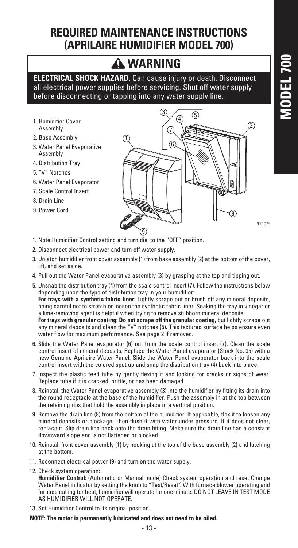# **ODEL 700 MODEL 700**

#### **REQUIRED MAINTENANCE INSTRUCTIONS (APRILAIRE HUMIDIFIER MODEL 700)**

### **A WARNING**

**ELECTRICAL SHOCK HAZARD.** Can cause injury or death. Disconnect all electrical power supplies before servicing. Shut off water supply before disconnecting or tapping into any water supply line.

- 1. Humidifier Cover Assembly
- 2. Base Assembly
- 3. Water Panel Evaporative Assembly
- 4. Distribution Tray
- 5. "V" Notches
- 6. Water Panel Evaporator
- 7. Scale Control Insert
- 8. Drain Line
- 9. Power Cord



90-1075

- 1. Note Humidifier Control setting and turn dial to the "OFF" position.
- 2. Disconnect electrical power and turn off water supply.
- 3. Unlatch humidifier front cover assembly (1) from base assembly (2) at the bottom of the cover, lift, and set aside.
- 4. Pull out the Water Panel evaporative assembly (3) by grasping at the top and tipping out.
- 5. Unsnap the distribution tray (4) from the scale control insert (7). Follow the instructions below depending upon the type of distribution tray in your humidifier: **For trays with a synthetic fabric liner:** Lightly scrape out or brush off any mineral deposits, being careful not to stretch or loosen the synthetic fabric liner. Soaking the tray in vinegar or a lime-removing agent is helpful when trying to remove stubborn mineral deposits. For trays with granular coating: Do not scrape off the granular coating, but lightly scrape out any mineral deposits and clean the "V" notches (5)**.** This textured surface helps ensure even water flow for maximum performance. See page 2 if removed.
- 6. Slide the Water Panel evaporator (6) out from the scale control insert (7). Clean the scale control insert of mineral deposits. Replace the Water Panel evaporator (Stock No. 35) with a new Genuine Aprilaire Water Panel. Slide the Water Panel evaporator back into the scale control insert with the colored spot up and snap the distribution tray (4) back into place.
- 7. Inspect the plastic feed tube by gently flexing it and looking for cracks or signs of wear. Replace tube if it is cracked, brittle, or has been damaged.
- 8. Reinstall the Water Panel evaporative assembly (3) into the humidifier by fitting its drain into the round receptacle at the base of the humidifier. Push the assembly in at the top between the retaining ribs that hold the assembly in place in a vertical position.
- 9. Remove the drain line (8) from the bottom of the humidifier. If applicable, flex it to loosen any mineral deposits or blockage. Then flush it with water under pressure. If it does not clear, replace it. Slip drain line back onto the drain fitting. Make sure the drain line has a constant downward slope and is not flattened or blocked.
- 10. Reinstall front cover assembly (1) by hooking at the top of the base assembly (2) and latching at the bottom.
- 11. Reconnect electrical power (9) and turn on the water supply.
- 12. Check system operation:

**Humidifier Control:** (Automatic or Manual mode) Check system operation and reset Change Water Panel indicator by setting the knob to "Test/Reset". With furnace blower operating and furnace calling for heat, humidifier will operate for one minute. DO NOT LEAVE IN TEST MODE AS HUMIDIFIER WILL NOT OPERATE.

13. Set Humidifier Control to its original position.

#### **NOTE: The motor is permanently lubricated and does not need to be oiled.**